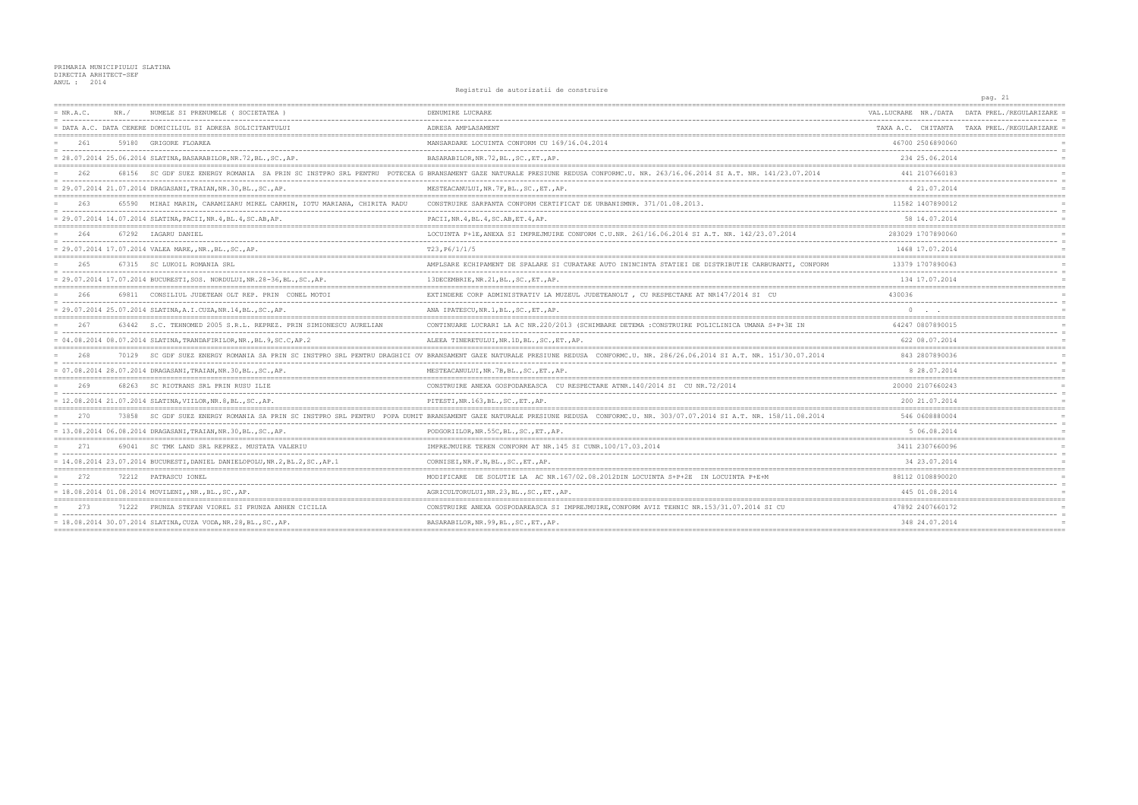## PRIMARIA MUNICIPIULUI SLATINA<br>DIRECTIA ARHITECT-SEF<br>ANUL : 2014

Registrul de autorizatii de construire

|             |       |                                                                                |                                                                                                                                                                               |                                     | pag. 21                                    |
|-------------|-------|--------------------------------------------------------------------------------|-------------------------------------------------------------------------------------------------------------------------------------------------------------------------------|-------------------------------------|--------------------------------------------|
| $= NR.A.C.$ | NR. / | NUMELE SI PRENUMELE ( SOCIETATEA )                                             | DENUMIRE LUCRARE                                                                                                                                                              | VAL.LUCRARE NR./DATA                | DATA PREL./REGULARIZARE                    |
|             |       | = DATA A.C. DATA CERERE DOMICILIUL SI ADRESA SOLICITANTULUI                    | ADRESA AMPLASAMENT                                                                                                                                                            |                                     | TAXA A.C. CHITANTA TAXA PREL./REGULARIZARE |
| 2.61        |       | 59180 GRIGORE FLOAREA                                                          | MANSARDARE LOCUINTA CONFORM CU 169/16.04.2014                                                                                                                                 | 46700 2506890060                    |                                            |
|             |       | = 28.07.2014 25.06.2014 SLATINA, BASARABILOR, NR.72, BL., SC., AP.             | BASARABILOR, NR. 72, BL., SC., ET., AP.                                                                                                                                       | 234 25.06.2014                      |                                            |
| 2.62        |       |                                                                                | 68156 SC GDF SUEZ ENERGY ROMANIA SA PRIN SC INSTPRO SRL PENTRU POTECEA G BRANSAMENT GAZE NATURALE PRESIUNE REDUSA CONFORMC.U. NR. 263/16.06.2014 SI A.T. NR. 141/23.07.2014   | 441 2107660183                      |                                            |
|             |       | = 29.07.2014 21.07.2014 DRAGASANI, TRAIAN, NR.30, BL., SC., AP.                | MESTEACANULUI, NR.7F, BL., SC., ET., AP.                                                                                                                                      | 4 21,07.2014                        |                                            |
| 263         |       | 65590 MIHAI MARIN, CARAMIZARU MIREL CARMIN, IOTU MARIANA, CHIRITA RADU         | CONSTRUIRE SARPANTA CONFORM CERTIFICAT DE URBANISMNR. 371/01.08.2013.                                                                                                         | 11582 1407890012                    |                                            |
|             |       | = 29.07.2014 14.07.2014 SLATINA, PACII, NR.4, BL.4, SC. AB, AP.                | PACII, NR. 4, BL. 4, SC. AB, ET. 4, AP.                                                                                                                                       | 58 14.07.2014                       |                                            |
| 2.64        |       | 67292 IAGARU DANIEL                                                            | LOCUINTA P+1E, ANEXA SI IMPREJMUIRE CONFORM C.U.NR. 261/16.06.2014 SI A.T. NR. 142/23.07.2014                                                                                 | 283029 1707890060                   |                                            |
|             |       | = 29.07.2014 17.07.2014 VALEA MARE,, NR., BL., SC., AP.                        | T23, P6/1/1/5                                                                                                                                                                 | 1468 17.07.2014                     |                                            |
| 265         |       | 67315 SC LUKOIL ROMANIA SRL                                                    | AMPLSARE ECHIPAMENT DE SPALARE SI CURATARE AUTO ININCINTA STATIEI DE DISTRIBUTIE CARBURANTI, CONFORM                                                                          | 13379 1707890063                    |                                            |
|             |       | = 29.07.2014 17.07.2014 BUCURESTI, SOS. NORDULUI, NR.28-36, BL., SC., AP.      | 13DECEMBRIE, NR. 21, BL., SC., ET., AP.                                                                                                                                       | 134 17.07.2014                      |                                            |
| 266         |       | 69811 CONSILIUL JUDETEAN OLT REP. PRIN CONEL MOTOI                             | EXTINDERE CORP ADMINISTRATIV LA MUZEUL JUDETEANOLT, CU RESPECTARE AT NR147/2014 SI CU                                                                                         | 430036                              |                                            |
|             |       | = 29.07.2014 25.07.2014 SLATINA, A.I.CUZA, NR.14, BL., SC., AP.                | ANA IPATESCU, NR. 1, BL., SC., ET., AP.                                                                                                                                       | $\circ$<br><b>Contract Contract</b> |                                            |
| 267         |       | 63442 S.C. TEHNOMED 2005 S.R.L. REPREZ, PRIN SIMIONESCU AURELIAN               | CONTINUARE LUCRARI LA AC NR.220/2013 (SCHIMBARE DETEMA :CONSTRUIRE POLICLINICA UMANA S+P+3E IN                                                                                | 64247 0807890015                    |                                            |
|             |       | $= 04.08.2014 08.07.2014 SLATINA, TRANDAFTRILOR, NR., BL.9, SC.C, AP.2$        | ALEEA TINERETULUI, NR. 1D, BL., SC., ET., AP.                                                                                                                                 | 622 08.07.2014                      |                                            |
| 2.68        |       |                                                                                | 70129 SC GDF SUEZ ENERGY ROMANIA SA PRIN SC INSTPRO SRL PENTRU DRAGHICI OV BRANSAMENT GAZE NATURALE PRESIUNE REDUSA CONFORMC.U. NR. 286/26.06.2014 SI A.T. NR. 151/30.07.2014 | 843 2807890036                      |                                            |
|             |       | = 07.08.2014 28.07.2014 DRAGASANI, TRAIAN, NR.30, BL., SC., AP.                | MESTEACANULUI, NR.7B, BL., SC., ET., AP.                                                                                                                                      | 8 28.07.2014                        |                                            |
| 269         | 68263 | SC RIOTRANS SRL PRIN RUSU ILIE                                                 | CONSTRUIRE ANEXA GOSPODAREASCA CU RESPECTARE ATNR. 140/2014 SI CU NR. 72/2014                                                                                                 | 20000 2107660243                    |                                            |
|             |       | = 12.08.2014 21.07.2014 SLATINA, VIILOR, NR. 8, BL., SC., AP.                  | PITESTI, NR.163, BL., SC., ET., AP.                                                                                                                                           | 200 21.07.2014                      |                                            |
|             | 73858 | SC GDF SUEZ ENERGY ROMANIA SA PRIN SC INSTPRO SRL PENTRU                       | POPA DUMIT BRANSAMENT GAZE NATURALE PRESIUNE REDUSA CONFORMC.U. NR. 303/07.07.2014 SI A.T. NR. 158/11.08.2014                                                                 | 546 0608880004                      |                                            |
|             |       | = 13.08.2014 06.08.2014 DRAGASANI, TRAIAN, NR.30, BL., SC., AP.                | PODGORIILOR, NR. 55C, BL., SC., ET., AP.                                                                                                                                      | 5 06.08.2014                        |                                            |
| 271         |       | 69041 SC TMK LAND SRL REPREZ, MUSTATA VALERIU                                  | IMPREJMUIRE TEREN CONFORM AT NR.145 SI CUNR.100/17.03.2014                                                                                                                    | 3411 2307660096                     |                                            |
|             |       | $= 14.08.2014 23.07.2014$ BUCURESTI, DANIEL DANIELOPOLU, NR.2, BL.2, SC., AP.1 | CORNISEI, NR. F. N, BL., SC., ET., AP.                                                                                                                                        | 34 23.07.2014                       |                                            |
| 272         |       | 72212 PATRASCU IONEL                                                           | MODIFICARE DE SOLUTIE LA AC NR.167/02.08.2012DIN LOCUINTA S+P+2E IN LOCUINTA P+E+M                                                                                            | 88112 0108890020                    |                                            |
|             |       | = 18.08.2014 01.08.2014 MOVILENI,, NR., BL., SC., AP.                          | AGRICULTORULUI, NR. 23, BL., SC., ET., AP.                                                                                                                                    | 445 01.08.2014                      |                                            |
| 273         |       | 71222 FRUNZA STEFAN VIOREL SI FRUNZA ANHEN CICILIA                             | CONSTRUIRE ANEXA GOSPODAREASCA SI IMPREJMUIRE, CONFORM AVIZ TEHNIC NR.153/31.07.2014 SI CU                                                                                    | 47892 2407660172                    |                                            |
|             |       | $= 18.08.2014 30.07.2014 SLATINA, CUZA VODA, NR.28, BL., SC., AP.$             | BASARABILOR, NR. 99, BL., SC., ET., AP.                                                                                                                                       | 348 24.07.2014                      |                                            |
|             |       |                                                                                |                                                                                                                                                                               |                                     |                                            |

 $tan 21$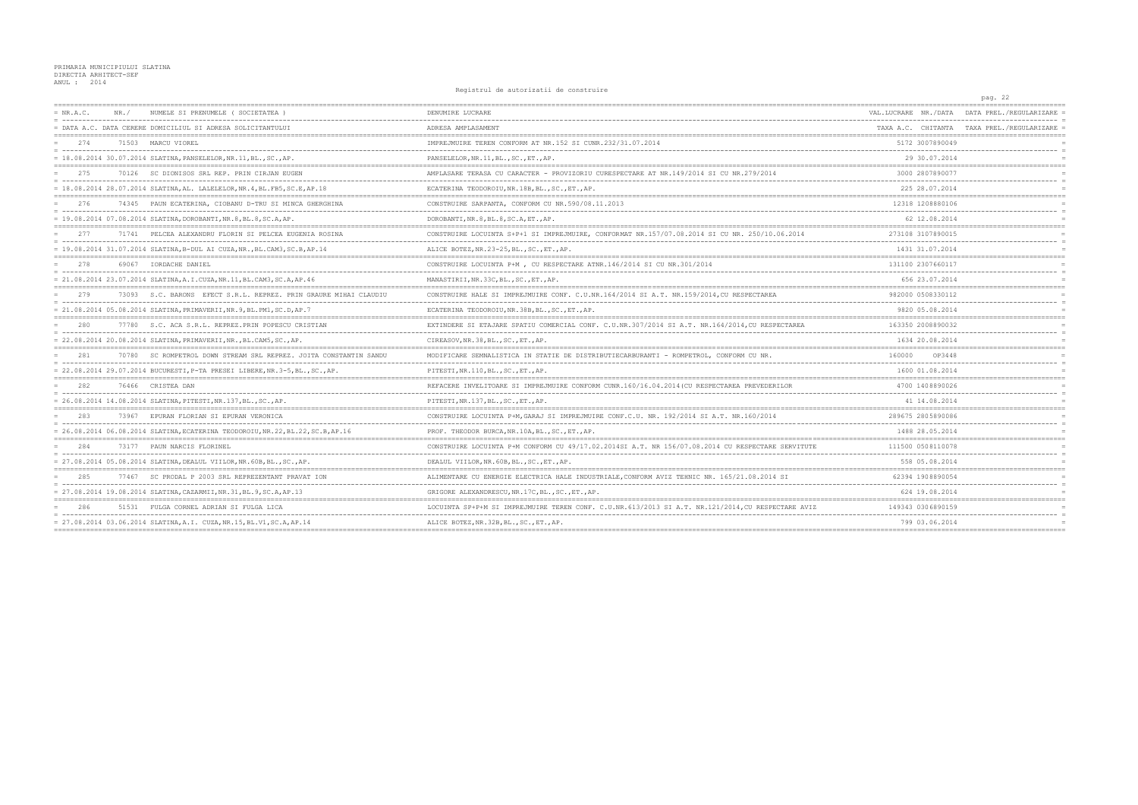## PRIMARIA MUNICIPIULUI SLATINA<br>DIRECTIA ARHITECT-SEF<br>ANUL : 2014

Registrul de autorizatii de construire

|             |                                                                                 |                                                                                                    |                      | pag. 22                                    |
|-------------|---------------------------------------------------------------------------------|----------------------------------------------------------------------------------------------------|----------------------|--------------------------------------------|
| $= NR.A.C.$ | NUMELE SI PRENUMELE ( SOCIETATEA )<br>NR. /                                     | DENUMIRE LUCRARE                                                                                   | VAL.LUCRARE NR./DATA | DATA PREL./REGULARIZARE                    |
|             | = DATA A.C. DATA CERERE DOMICILIUL SI ADRESA SOLICITANTULUI                     | ADRESA AMPLASAMENT                                                                                 |                      | TAXA A.C. CHITANTA TAXA PREL./REGULARIZARE |
| 2.74        | 71503 MARCU VIOREL                                                              | IMPREJMUIRE TEREN CONFORM AT NR. 152 SI CUNR. 232/31.07.2014                                       | 5172 3007890049      |                                            |
|             | $= 18.08.2014 30.07.2014 SLATINA, PANSELELOR, NR.11, BL., SC., AP.$             | PANSELELOR, NR.11, BL., SC., ET., AP.                                                              | 29 30.07.2014        |                                            |
| 275         | 70126 SC DIONISOS SRL REP. PRIN CIRJAN EUGEN                                    | AMPLASARE TERASA CU CARACTER - PROVIZORIU CURESPECTARE AT NR.149/2014 SI CU NR.279/2014            | 3000 2807890077      |                                            |
|             | = 18.08.2014 28.07.2014 SLATINA, AL. LALELELOR, NR. 4, BL. FB5, SC. E, AP. 18   | ECATERINA TEODOROIU, NR.18B, BL., SC., ET., AP.                                                    | 225 28.07.2014       |                                            |
| 276         | 74345 PAUN ECATERINA, CIOBANU D-TRU SI MINCA GHERGHINA                          | CONSTRUIRE SARPANTA, CONFORM CU NR.590/08.11.2013                                                  | 12318 1208880106     |                                            |
|             | $= 19.08.2014 07.08.2014 SLATINA, DOROBANTI, NR.8, BL.8, SC.A, AP.$             | DOROBANTI, NR. 8, BL. 8, SC. A, ET., AP.                                                           | 62 12 08 2014        |                                            |
| 277         | 71741 PELCEA ALEXANDRU FLORIN SI PELCEA EUGENIA ROSINA                          | CONSTRUIRE LOCUINTA S+P+1 SI IMPREJMUIRE, CONFORMAT NR.157/07.08.2014 SI CU NR. 250/10.06.2014     | 273108 3107890015    |                                            |
|             | = 19.08.2014 31.07.2014 SLATINA, B-DUL AI CUZA, NR., BL.CAM3, SC.B, AP.14       | ALICE BOTEZ, NR.23-25, BL., SC., ET., AP.                                                          | 1431 31.07.2014      |                                            |
| 278         | 69067 IORDACHE DANIEL                                                           | CONSTRUIRE LOCUINTA P+M, CU RESPECTARE ATNR.146/2014 SI CU NR.301/2014                             | 131100 2307660117    |                                            |
|             | = 21.08.2014 23.07.2014 SLATINA, A.I.CUZA, NR.11, BL.CAM3, SC.A, AP.46          | MANASTIRII, NR. 33C, BL., SC., ET., AP.                                                            | 656 23.07.2014       |                                            |
| 2.79        | 73093 S.C. BARONS EFECT S.R.L. REPREZ. PRIN GRAURE MIHAI CLAUDIU                | CONSTRUIRE HALE SI IMPREJMUIRE CONF. C.U.NR.164/2014 SI A.T. NR.159/2014, CU RESPECTAREA           | 982000 0508330112    |                                            |
|             | = 21.08.2014 05.08.2014 SLATINA, PRIMAVERII, NR. 9, BL. PM1, SC. D, AP.7        | ECATERINA TEODOROIU, NR. 38B, BL., SC., ET., AP.                                                   | 9820 05.08.2014      |                                            |
|             | 77780 S.C. ACA S.R.L. REPREZ.PRIN POPESCU CRISTIAN                              | EXTINDERE SI ETAJARE SPATIU COMERCIAL CONF. C.U.NR.307/2014 SI A.T. NR.164/2014, CU RESPECTAREA    | 163350 2008890032    |                                            |
|             | = 22.08.2014 20.08.2014 SLATINA, PRIMAVERII, NR., BL.CAM5, SC., AP.             | CIREASOV, NR. 38, BL., SC., ET., AP.                                                               | 1634 20.08.2014      |                                            |
| 281         | 70780 SC ROMPETROL DOWN STREAM SRL REPREZ. JOITA CONSTANTIN SANDU               | MODIFICARE SEMNALISTICA IN STATIE DE DISTRIBUTIECARBURANTI - ROMPETROL, CONFORM CU NR.             | 160000<br>OP3448     |                                            |
|             | = 22.08.2014 29.07.2014 BUCURESTI, P-TA PRESEI LIBERE, NR.3-5, BL., SC., AP.    | PITESTI, NR.110, BL., SC., ET., AP.                                                                | 1600 01.08.2014      |                                            |
| 282         | 76466 CRISTEA DAN                                                               | REFACERE INVELITOARE SI IMPREJMUIRE CONFORM CUNR.160/16.04.2014 (CU RESPECTAREA PREVEDERILOR       | 4700 1408890026      |                                            |
|             | = 26.08.2014 14.08.2014 SLATINA, PITESTI, NR.137, BL., SC., AP.                 | PITESTI, NR.137, BL., SC., ET., AP.                                                                | 41 14.08.2014        |                                            |
| 283         | 73967<br>EPURAN FLORIAN SI EPURAN VERONICA                                      | CONSTRUIRE LOCUINTA P+M, GARAJ SI IMPREJMUIRE CONF.C.U. NR. 192/2014 SI A.T. NR. 160/2014          | 289675 2805890086    |                                            |
|             | = 26.08.2014 06.08.2014 SLATINA, ECATERINA TEODOROIU, NR.22, BL.22, SC.B, AP.16 | PROF. THEODOR BURCA, NR.10A, BL., SC., ET., AP.                                                    | 1488 28.05.2014      |                                            |
| 284         | 73177 PAUN NARCIS FLORINEL                                                      | CONSTRUIRE LOCUINTA P+M CONFORM CU 49/17.02.2014SI A.T. NR 156/07.08.2014 CU RESPECTARE SERVITUTE  | 111500 0508110078    |                                            |
|             | = 27.08.2014 05.08.2014 SLATINA, DEALUL VIILOR, NR.60B, BL., SC., AP.           | DEALUL VIILOR, NR. 60B, BL., SC., ET., AP.                                                         | 558 05.08.2014       |                                            |
| 285         | 77467 SC PRODAL P 2003 SRL REPREZENTANT PRAVAT ION                              | ALIMENTARE CU ENERGIE ELECTRICA HALE INDUSTRIALE, CONFORM AVIZ TEHNIC NR. 165/21.08.2014 SI        | 62394 1908890054     |                                            |
|             | = 27.08.2014 19.08.2014 SLATINA, CAZARMII, NR. 31, BL. 9, SC. A, AP. 13         | GRIGORE ALEXANDRESCU, NR.17C, BL., SC., ET., AP.                                                   | 624 19.08.2014       |                                            |
| 286         | 51531 FULGA CORNEL ADRIAN SI FULGA LICA                                         | LOCUINTA SP+P+M SI IMPREJMUIRE TEREN CONF. C.U.NR.613/2013 SI A.T. NR.121/2014, CU RESPECTARE AVIZ | 149343 0306890159    |                                            |
|             | = 27.08.2014 03.06.2014 SLATINA, A.I. CUZA, NR.15, BL.V1, SC.A, AP.14           | ALICE BOTEZ, NR. 32B, BL., SC., ET., AP.                                                           | 799 03.06.2014       |                                            |
|             |                                                                                 |                                                                                                    |                      |                                            |

 $\overline{\phantom{0}}$